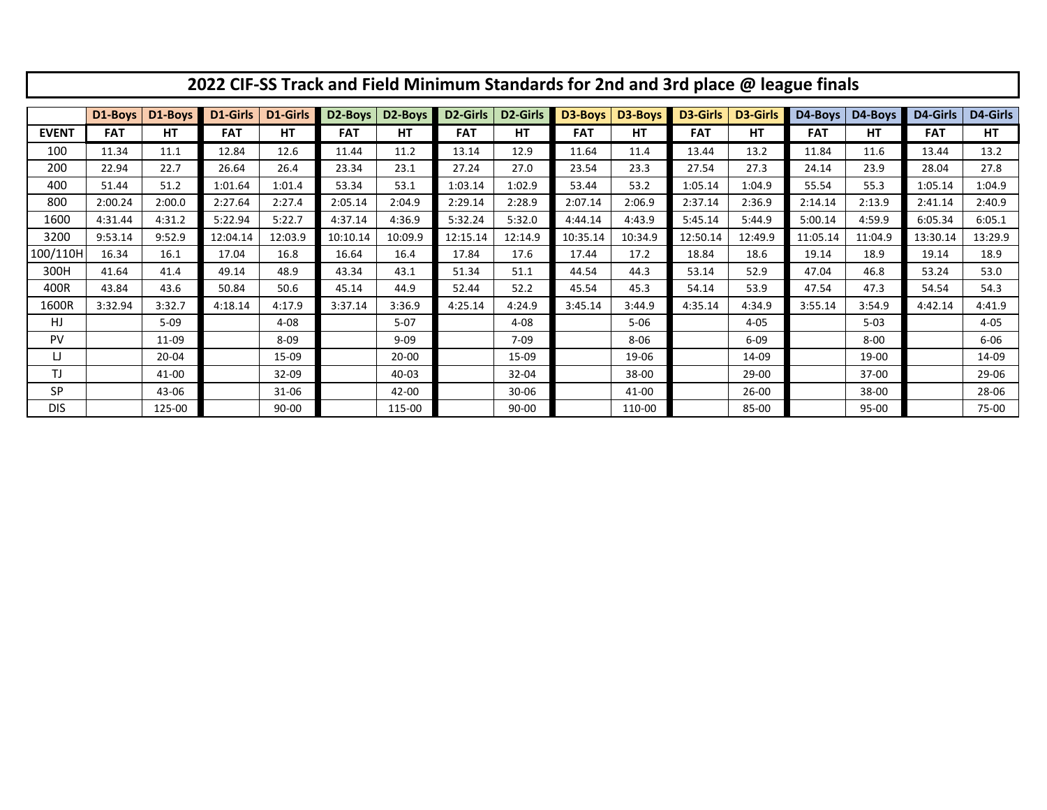| 2022 CIF-SS Track and Field Minimum Standards for 2nd and 3rd place @ league finals |            |           |            |           |                      |                      |            |           |            |          |            |                 |            |          |            |          |
|-------------------------------------------------------------------------------------|------------|-----------|------------|-----------|----------------------|----------------------|------------|-----------|------------|----------|------------|-----------------|------------|----------|------------|----------|
|                                                                                     | D1-Boys    | D1-Boys   | D1-Girls   | D1-Girls  | D <sub>2</sub> -Boys | D <sub>2</sub> -Boys | D2-Girls   | D2-Girls  | D3-Boys    | D3-Boys  | D3-Girls   | <b>D3-Girls</b> | D4-Boys    | D4-Boys  | D4-Girls   | D4-Girls |
| <b>EVENT</b>                                                                        | <b>FAT</b> | HT        | <b>FAT</b> | HT        | <b>FAT</b>           | HT                   | <b>FAT</b> | HT        | <b>FAT</b> | HТ       | <b>FAT</b> | <b>HT</b>       | <b>FAT</b> | HT       | <b>FAT</b> | HT.      |
| 100                                                                                 | 11.34      | 11.1      | 12.84      | 12.6      | 11.44                | 11.2                 | 13.14      | 12.9      | 11.64      | 11.4     | 13.44      | 13.2            | 11.84      | 11.6     | 13.44      | 13.2     |
| 200                                                                                 | 22.94      | 22.7      | 26.64      | 26.4      | 23.34                | 23.1                 | 27.24      | 27.0      | 23.54      | 23.3     | 27.54      | 27.3            | 24.14      | 23.9     | 28.04      | 27.8     |
| 400                                                                                 | 51.44      | 51.2      | 1:01.64    | 1:01.4    | 53.34                | 53.1                 | 1:03.14    | 1:02.9    | 53.44      | 53.2     | 1:05.14    | 1:04.9          | 55.54      | 55.3     | 1:05.14    | 1:04.9   |
| 800                                                                                 | 2:00.24    | 2:00.0    | 2:27.64    | 2:27.4    | 2:05.14              | 2:04.9               | 2:29.14    | 2:28.9    | 2:07.14    | 2:06.9   | 2:37.14    | 2:36.9          | 2:14.14    | 2:13.9   | 2:41.14    | 2:40.9   |
| 1600                                                                                | 4:31.44    | 4:31.2    | 5:22.94    | 5:22.7    | 4:37.14              | 4:36.9               | 5:32.24    | 5:32.0    | 4:44.14    | 4:43.9   | 5:45.14    | 5:44.9          | 5:00.14    | 4:59.9   | 6:05.34    | 6:05.1   |
| 3200                                                                                | 9:53.14    | 9:52.9    | 12:04.14   | 12:03.9   | 10:10.14             | 10:09.9              | 12:15.14   | 12:14.9   | 10:35.14   | 10:34.9  | 12:50.14   | 12:49.9         | 11:05.14   | 11:04.9  | 13:30.14   | 13:29.9  |
| 100/110H                                                                            | 16.34      | 16.1      | 17.04      | 16.8      | 16.64                | 16.4                 | 17.84      | 17.6      | 17.44      | 17.2     | 18.84      | 18.6            | 19.14      | 18.9     | 19.14      | 18.9     |
| 300H                                                                                | 41.64      | 41.4      | 49.14      | 48.9      | 43.34                | 43.1                 | 51.34      | 51.1      | 44.54      | 44.3     | 53.14      | 52.9            | 47.04      | 46.8     | 53.24      | 53.0     |
| 400R                                                                                | 43.84      | 43.6      | 50.84      | 50.6      | 45.14                | 44.9                 | 52.44      | 52.2      | 45.54      | 45.3     | 54.14      | 53.9            | 47.54      | 47.3     | 54.54      | 54.3     |
| 1600R                                                                               | 3:32.94    | 3:32.7    | 4:18.14    | 4:17.9    | 3:37.14              | 3:36.9               | 4:25.14    | 4:24.9    | 3:45.14    | 3:44.9   | 4:35.14    | 4:34.9          | 3:55.14    | 3:54.9   | 4:42.14    | 4:41.9   |
| HJ                                                                                  |            | $5 - 09$  |            | $4 - 08$  |                      | $5-07$               |            | $4 - 08$  |            | $5 - 06$ |            | $4 - 05$        |            | $5 - 03$ |            | $4 - 05$ |
| <b>PV</b>                                                                           |            | 11-09     |            | $8 - 09$  |                      | $9 - 09$             |            | $7 - 09$  |            | $8 - 06$ |            | $6 - 09$        |            | $8 - 00$ |            | $6 - 06$ |
| IJ                                                                                  |            | $20 - 04$ |            | 15-09     |                      | 20-00                |            | 15-09     |            | 19-06    |            | 14-09           |            | 19-00    |            | 14-09    |
| TJ                                                                                  |            | 41-00     |            | 32-09     |                      | 40-03                |            | 32-04     |            | 38-00    |            | 29-00           |            | 37-00    |            | 29-06    |
| <b>SP</b>                                                                           |            | 43-06     |            | $31 - 06$ |                      | 42-00                |            | $30 - 06$ |            | 41-00    |            | $26 - 00$       |            | 38-00    |            | 28-06    |
| <b>DIS</b>                                                                          |            | 125-00    |            | $90 - 00$ |                      | 115-00               |            | $90 - 00$ |            | 110-00   |            | 85-00           |            | 95-00    |            | 75-00    |